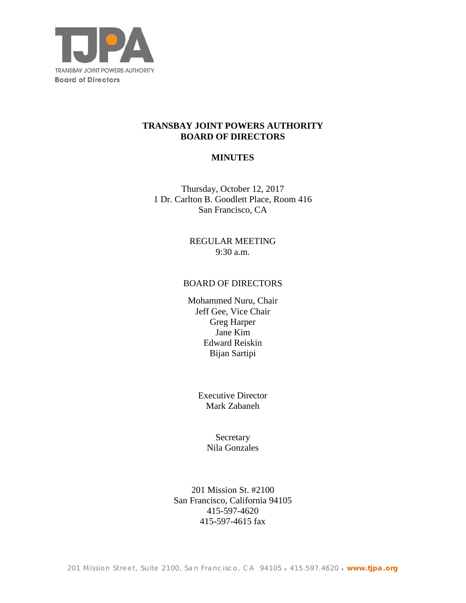

## **TRANSBAY JOINT POWERS AUTHORITY BOARD OF DIRECTORS**

## **MINUTES**

Thursday, October 12, 2017 1 Dr. Carlton B. Goodlett Place, Room 416 San Francisco, CA

> REGULAR MEETING 9:30 a.m.

### BOARD OF DIRECTORS

Mohammed Nuru, Chair Jeff Gee, Vice Chair Greg Harper Jane Kim Edward Reiskin Bijan Sartipi

> Executive Director Mark Zabaneh

> > **Secretary** Nila Gonzales

201 Mission St. #2100 San Francisco, California 94105 415-597-4620 415-597-4615 fax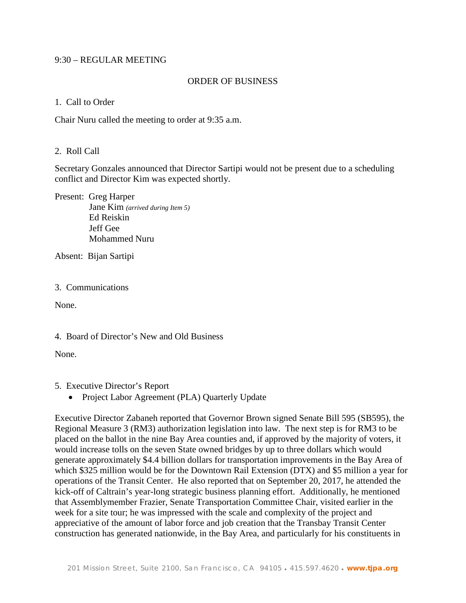#### 9:30 – REGULAR MEETING

### ORDER OF BUSINESS

#### 1. Call to Order

Chair Nuru called the meeting to order at 9:35 a.m.

## 2. Roll Call

Secretary Gonzales announced that Director Sartipi would not be present due to a scheduling conflict and Director Kim was expected shortly.

Present: Greg Harper Jane Kim *(arrived during Item 5)* Ed Reiskin Jeff Gee Mohammed Nuru

Absent: Bijan Sartipi

#### 3. Communications

None.

4. Board of Director's New and Old Business

None.

5. Executive Director's Report

• Project Labor Agreement (PLA) Quarterly Update

Executive Director Zabaneh reported that Governor Brown signed Senate Bill 595 (SB595), the Regional Measure 3 (RM3) authorization legislation into law. The next step is for RM3 to be placed on the ballot in the nine Bay Area counties and, if approved by the majority of voters, it would increase tolls on the seven State owned bridges by up to three dollars which would generate approximately \$4.4 billion dollars for transportation improvements in the Bay Area of which \$325 million would be for the Downtown Rail Extension (DTX) and \$5 million a year for operations of the Transit Center. He also reported that on September 20, 2017, he attended the kick-off of Caltrain's year-long strategic business planning effort. Additionally, he mentioned that Assemblymember Frazier, Senate Transportation Committee Chair, visited earlier in the week for a site tour; he was impressed with the scale and complexity of the project and appreciative of the amount of labor force and job creation that the Transbay Transit Center construction has generated nationwide, in the Bay Area, and particularly for his constituents in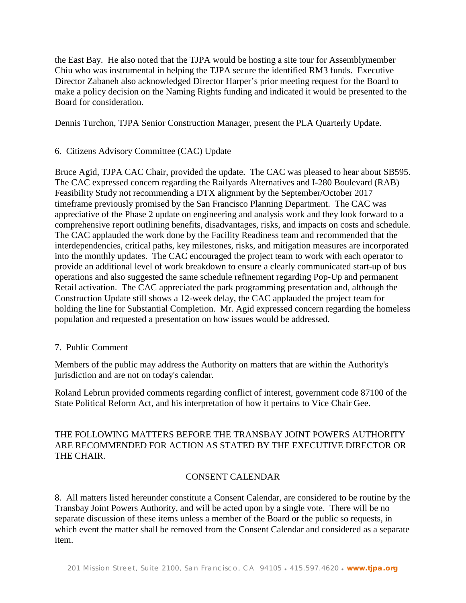the East Bay. He also noted that the TJPA would be hosting a site tour for Assemblymember Chiu who was instrumental in helping the TJPA secure the identified RM3 funds. Executive Director Zabaneh also acknowledged Director Harper's prior meeting request for the Board to make a policy decision on the Naming Rights funding and indicated it would be presented to the Board for consideration.

Dennis Turchon, TJPA Senior Construction Manager, present the PLA Quarterly Update.

# 6. Citizens Advisory Committee (CAC) Update

Bruce Agid, TJPA CAC Chair, provided the update. The CAC was pleased to hear about SB595. The CAC expressed concern regarding the Railyards Alternatives and I-280 Boulevard (RAB) Feasibility Study not recommending a DTX alignment by the September/October 2017 timeframe previously promised by the San Francisco Planning Department. The CAC was appreciative of the Phase 2 update on engineering and analysis work and they look forward to a comprehensive report outlining benefits, disadvantages, risks, and impacts on costs and schedule. The CAC applauded the work done by the Facility Readiness team and recommended that the interdependencies, critical paths, key milestones, risks, and mitigation measures are incorporated into the monthly updates. The CAC encouraged the project team to work with each operator to provide an additional level of work breakdown to ensure a clearly communicated start-up of bus operations and also suggested the same schedule refinement regarding Pop-Up and permanent Retail activation. The CAC appreciated the park programming presentation and, although the Construction Update still shows a 12-week delay, the CAC applauded the project team for holding the line for Substantial Completion. Mr. Agid expressed concern regarding the homeless population and requested a presentation on how issues would be addressed.

## 7. Public Comment

Members of the public may address the Authority on matters that are within the Authority's jurisdiction and are not on today's calendar.

Roland Lebrun provided comments regarding conflict of interest, government code 87100 of the State Political Reform Act, and his interpretation of how it pertains to Vice Chair Gee.

# THE FOLLOWING MATTERS BEFORE THE TRANSBAY JOINT POWERS AUTHORITY ARE RECOMMENDED FOR ACTION AS STATED BY THE EXECUTIVE DIRECTOR OR THE CHAIR.

# CONSENT CALENDAR

8. All matters listed hereunder constitute a Consent Calendar, are considered to be routine by the Transbay Joint Powers Authority, and will be acted upon by a single vote. There will be no separate discussion of these items unless a member of the Board or the public so requests, in which event the matter shall be removed from the Consent Calendar and considered as a separate item.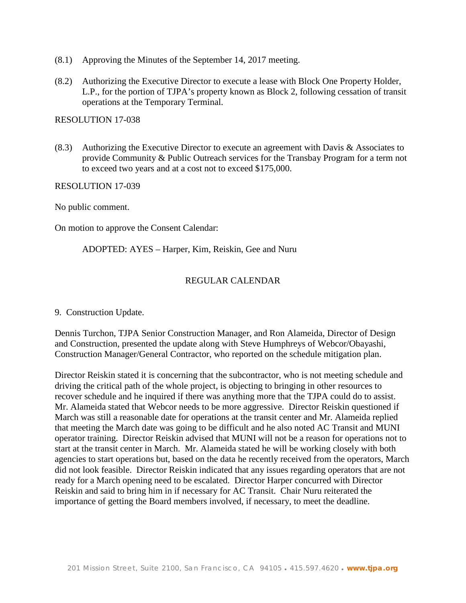- (8.1) Approving the Minutes of the September 14, 2017 meeting.
- (8.2) Authorizing the Executive Director to execute a lease with Block One Property Holder, L.P., for the portion of TJPA's property known as Block 2, following cessation of transit operations at the Temporary Terminal.

RESOLUTION 17-038

(8.3) Authorizing the Executive Director to execute an agreement with Davis & Associates to provide Community & Public Outreach services for the Transbay Program for a term not to exceed two years and at a cost not to exceed \$175,000.

RESOLUTION 17-039

No public comment.

On motion to approve the Consent Calendar:

ADOPTED: AYES – Harper, Kim, Reiskin, Gee and Nuru

# REGULAR CALENDAR

9. Construction Update.

Dennis Turchon, TJPA Senior Construction Manager, and Ron Alameida, Director of Design and Construction, presented the update along with Steve Humphreys of Webcor/Obayashi, Construction Manager/General Contractor, who reported on the schedule mitigation plan.

Director Reiskin stated it is concerning that the subcontractor, who is not meeting schedule and driving the critical path of the whole project, is objecting to bringing in other resources to recover schedule and he inquired if there was anything more that the TJPA could do to assist. Mr. Alameida stated that Webcor needs to be more aggressive. Director Reiskin questioned if March was still a reasonable date for operations at the transit center and Mr. Alameida replied that meeting the March date was going to be difficult and he also noted AC Transit and MUNI operator training. Director Reiskin advised that MUNI will not be a reason for operations not to start at the transit center in March. Mr. Alameida stated he will be working closely with both agencies to start operations but, based on the data he recently received from the operators, March did not look feasible. Director Reiskin indicated that any issues regarding operators that are not ready for a March opening need to be escalated. Director Harper concurred with Director Reiskin and said to bring him in if necessary for AC Transit. Chair Nuru reiterated the importance of getting the Board members involved, if necessary, to meet the deadline.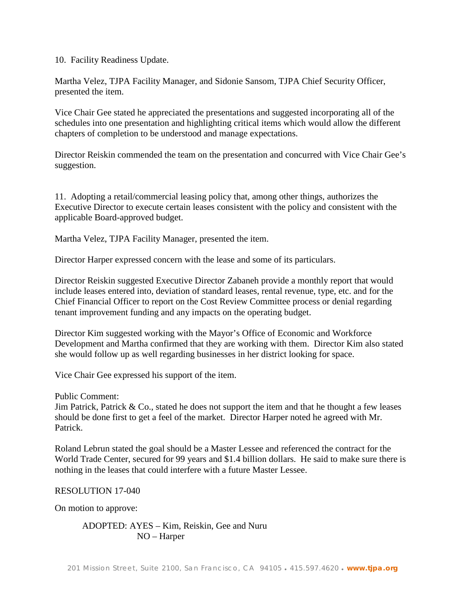10. Facility Readiness Update.

Martha Velez, TJPA Facility Manager, and Sidonie Sansom, TJPA Chief Security Officer, presented the item.

Vice Chair Gee stated he appreciated the presentations and suggested incorporating all of the schedules into one presentation and highlighting critical items which would allow the different chapters of completion to be understood and manage expectations.

Director Reiskin commended the team on the presentation and concurred with Vice Chair Gee's suggestion.

11. Adopting a retail/commercial leasing policy that, among other things, authorizes the Executive Director to execute certain leases consistent with the policy and consistent with the applicable Board-approved budget.

Martha Velez, TJPA Facility Manager, presented the item.

Director Harper expressed concern with the lease and some of its particulars.

Director Reiskin suggested Executive Director Zabaneh provide a monthly report that would include leases entered into, deviation of standard leases, rental revenue, type, etc. and for the Chief Financial Officer to report on the Cost Review Committee process or denial regarding tenant improvement funding and any impacts on the operating budget.

Director Kim suggested working with the Mayor's Office of Economic and Workforce Development and Martha confirmed that they are working with them. Director Kim also stated she would follow up as well regarding businesses in her district looking for space.

Vice Chair Gee expressed his support of the item.

Public Comment:

Jim Patrick, Patrick  $\&$  Co., stated he does not support the item and that he thought a few leases should be done first to get a feel of the market. Director Harper noted he agreed with Mr. Patrick.

Roland Lebrun stated the goal should be a Master Lessee and referenced the contract for the World Trade Center, secured for 99 years and \$1.4 billion dollars. He said to make sure there is nothing in the leases that could interfere with a future Master Lessee.

RESOLUTION 17-040

On motion to approve:

ADOPTED: AYES – Kim, Reiskin, Gee and Nuru NO – Harper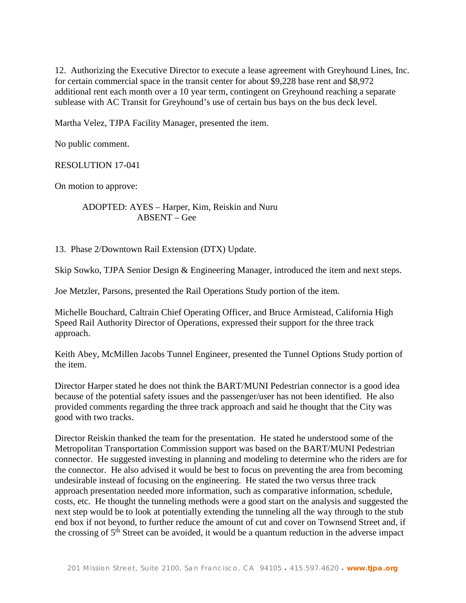12. Authorizing the Executive Director to execute a lease agreement with Greyhound Lines, Inc. for certain commercial space in the transit center for about \$9,228 base rent and \$8,972 additional rent each month over a 10 year term, contingent on Greyhound reaching a separate sublease with AC Transit for Greyhound's use of certain bus bays on the bus deck level.

Martha Velez, TJPA Facility Manager, presented the item.

No public comment.

RESOLUTION 17-041

On motion to approve:

ADOPTED: AYES – Harper, Kim, Reiskin and Nuru ABSENT – Gee

13. Phase 2/Downtown Rail Extension (DTX) Update.

Skip Sowko, TJPA Senior Design & Engineering Manager, introduced the item and next steps.

Joe Metzler, Parsons, presented the Rail Operations Study portion of the item.

Michelle Bouchard, Caltrain Chief Operating Officer, and Bruce Armistead, California High Speed Rail Authority Director of Operations, expressed their support for the three track approach.

Keith Abey, McMillen Jacobs Tunnel Engineer, presented the Tunnel Options Study portion of the item.

Director Harper stated he does not think the BART/MUNI Pedestrian connector is a good idea because of the potential safety issues and the passenger/user has not been identified. He also provided comments regarding the three track approach and said he thought that the City was good with two tracks.

Director Reiskin thanked the team for the presentation. He stated he understood some of the Metropolitan Transportation Commission support was based on the BART/MUNI Pedestrian connector. He suggested investing in planning and modeling to determine who the riders are for the connector. He also advised it would be best to focus on preventing the area from becoming undesirable instead of focusing on the engineering. He stated the two versus three track approach presentation needed more information, such as comparative information, schedule, costs, etc. He thought the tunneling methods were a good start on the analysis and suggested the next step would be to look at potentially extending the tunneling all the way through to the stub end box if not beyond, to further reduce the amount of cut and cover on Townsend Street and, if the crossing of  $5<sup>th</sup>$  Street can be avoided, it would be a quantum reduction in the adverse impact